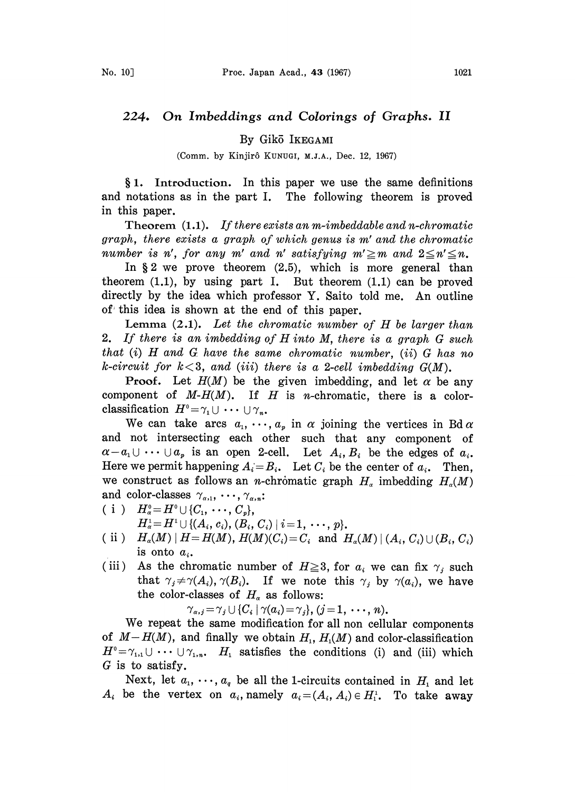## 224. On Imbeddings and Colorings of Graphs. II

By Gik5 IKEGAMI

(Comm. by Kinjirô KUNUGI, M.J.A., Dec. 12, 1967)

1. Introduction. In this paper we use the same definitions and notations as in the part I. The following theorem is proved in this paper.

Theorem  $(1.1)$ . If there exists an m-imbeddable and n-chromatic graph, there exists a graph of which genus is m' and the chromatic number is n', for any m' and n' satisfying  $m' \ge m$  and  $2 \le n' \le n$ .

In  $\S 2$  we prove theorem  $(2.5)$ , which is more general than theorem  $(1,1)$ , by using part I. But theorem  $(1,1)$  can be proved directly by the idea which professor Y. Saito told me. An outline of this idea is shown at the end of this paper.

Lemma  $(2.1)$ . Let the chromatic number of H be larger than 2. If there is an imbedding of H into M, there is <sup>a</sup> graph G such that  $(i)$  H and G have the same chromatic number,  $(ii)$  G has no k-circuit for  $k < 3$ , and (iii) there is a 2-cell imbedding  $G(M)$ .

**Proof.** Let  $H(M)$  be the given imbedding, and let  $\alpha$  be any component of  $M-H(M)$ . If  $H$  is n-chromatic, there is a colorclassification  $H^0 = \gamma_1 \cup \cdots \cup \gamma_n$ .

ification  $H^0 = \gamma_1 \cup \cdots \cup \gamma_n$ .<br>We can take arcs  $a_1, \cdots, a_p$  in  $\alpha$  joining the vertices in Bd  $\alpha$ and not intersecting each other such that any component of  $\alpha-a_1\cup\cdots\cup a_p$  is an open 2-cell. Let  $A_i,B_i$  be the edges of  $a_i$ . Here we permit happening  $A_i = B_i$ . Let  $C_i$  be the center of  $a_i$ . Then, we construct as follows an *n*-chromatic graph  $H_a$  imbedding  $H_a(M)$ and color-classes  $\gamma_{\alpha,1}, \ldots, \gamma_{\alpha,n}$ :

- ( i )  $H^0_{\alpha} = H^0 \cup \{C_1, \dots, C_n\},$  $H^1_{\alpha} = H^1 \cup \{ (A_i, c_i), (B_i, C_i) \mid i = 1, \cdots, p \}.$
- (ii)  $H_{\alpha}(M) | H = H(M), H(M)(C_i) = C_i$  and  $H_{\alpha}(M) | (A_i, C_i) \cup (B_i, C_i)$ is onto  $a_i$ .
- (iii) As the chromatic number of  $H \ge 3$ , for  $a_i$  we can fix  $\gamma_i$  such that  $\gamma_i \neq \gamma(A_i)$ ,  $\gamma(B_i)$ . If we note this  $\gamma_i$  by  $\gamma(a_i)$ , we have the color-classes of  $H_{\alpha}$  as follows:

 $\gamma_{\alpha,j}=\gamma_j\cup\{C_i\mid \gamma(a_i)=\gamma_j\}, (j=1,\cdots,n).$ 

We repeat the same modification for all non cellular components of  $M-H(M)$ , and finally we obtain  $H_1$ ,  $H_1(M)$  and color-classification  $H^0 = \gamma_{1,1} \cup \cdots \cup \gamma_{1,n}$ .  $H_1$  satisfies the conditions (i) and (iii) which  $G$  is to satisfy.

Next, let  $a_1, \dots, a_q$  be all the 1-circuits contained in  $H_1$  and let  $A_i$  be the vertex on  $a_i$ , namely  $a_i = (A_i, A_i) \in H_1^1$ . To take away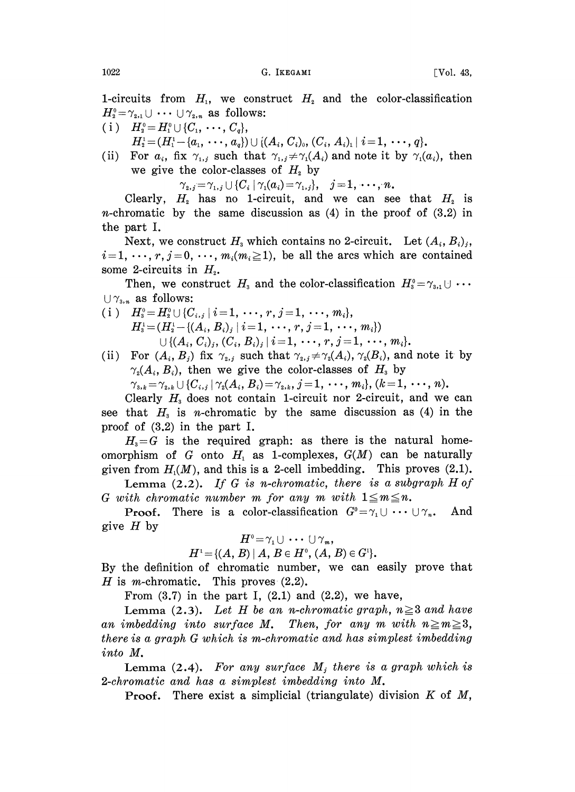1-circuits from  $H<sub>1</sub>$ , we construct  $H<sub>2</sub>$  and the color-classification  $H_2^0 = \gamma_{2,1} \cup \cdots \cup \gamma_{2,n}$  as follows:

 $\begin{array}{ll} ( \; \mathrm{i} \; ) & H_2^0 = H_1^0 \cup \{ C_1, \; \cdots, \, C_q \}, \ & H_2^1 = ( H_1^1 - \{ a_1, \; \cdots, \, a_q \}) \cup \{ ( A_i, \, C_i )_0, \, ( C_i, \, A_i )_1 \; | \; i \! = \! 1, \; \cdots, \, q \}. \end{array}$ 

(ii) For  $a_i$ , fix  $\gamma_{1,i}$  such that  $\gamma_{1,i} \neq \gamma_1(A_i)$  and note it by  $\gamma_1(a_i)$ , then we give the color-classes of  $H<sub>2</sub>$  by

 $\gamma_{2,j}=\gamma_{1,j}\cup\{C_i\mid \gamma_1(a_i)=\gamma_{1,j}\},\quad j=1,\cdots,n.$ 

Clearly,  $H_2$  has no 1-circuit, and we can see that  $H_2$  is *n*-chromatic by the same discussion as  $(4)$  in the proof of  $(3.2)$  in the part I.

Next, we construct  $H_3$  which contains no 2-circuit. Let  $(A_i, B_i)_j$ ,  $i=1, \dots, r, j=0, \dots, m_i(m_i\geq 1)$ , be all the arcs which are contained some 2-circuits in  $H<sub>2</sub>$ .

Then, we construct  $H_3$  and the color-classification  $H_3^0 = \gamma_{3,1} \cup \cdots$  $\bigcup \gamma_{3,n}$  as follows:

- (i)  $H_3^0 = H_2^0 \cup \{C_{i,j} \mid i=1, \cdots, r, j=1, \cdots, m_i\},$  $H_3^1 = (H_3^1 - \{(A_i, B_i)_i \mid i = 1, \cdots, r, j = 1, \cdots, m_i\})$  $\cup \{ (A_i, C_i)_i, (C_i, B_i)_i \mid i=1, \cdots, r, j=1, \cdots, m_i \}.$
- (ii) For  $(A_i, B_j)$  fix  $\gamma_{2,i}$  such that  $\gamma_{2,i} \neq \gamma_2(A_i), \gamma_2(B_i)$ , and note it by  $\gamma_2(A_i, B_i)$ , then we give the color-classes of  $H_i$  by

 $\gamma_{3,k}=\gamma_{2,k}\cup\{C_{i,j}\mid \gamma_2(A_i, B_i)=\gamma_{2,k}, j=1, \cdots, m_i\}, (k=1, \cdots, n).$ 

Clearly  $H<sub>3</sub>$  does not contain 1-circuit nor 2-circuit, and we can see that  $H<sub>3</sub>$  is *n*-chromatic by the same discussion as (4) in the proof of (3.2) in the part I.

 $H<sub>3</sub>=G$  is the required graph: as there is the natural homeomorphism of G onto  $H_1$  as 1-complexes,  $G(M)$  can be naturally given from  $H<sub>i</sub>(M)$ , and this is a 2-cell imbedding. This proves (2.1).

Lemma  $(2.2)$ . If G is n-chromatic, there is a subgraph H of G with chromatic number m for any m with  $1 \leq m \leq n$ .

**Proof.** There is a color-classification  $G^0 = \gamma_1 \cup \cdots \cup \gamma_n$ . And give  $H$  by

$$
H^0=\gamma_1\cup\ \cdots\ \cup\gamma_m,
$$

$$
H^1 = \{(A, B) | A, B \in H^0, (A, B) \in G^1\}.
$$

By the definition of chromatic number, we can easily prove that H is m-chromatic. This proves  $(2.2)$ .

From  $(3.7)$  in the part I,  $(2.1)$  and  $(2.2)$ , we have,

Lemma (2.3). Let H be an n-chromatic graph,  $n \geq 3$  and have an imbedding into surface M. Then, for any m with  $n\geq m\geq 3$ , there is a graph G which is m-chromatic and has simplest imbedding into M.

Lemma  $(2.4)$ . For any surface  $M_i$ , there is a graph which is 2-chromatic and has a simplest imbedding into M.

**Proof.** There exist a simplicial (triangulate) division  $K$  of  $M$ ,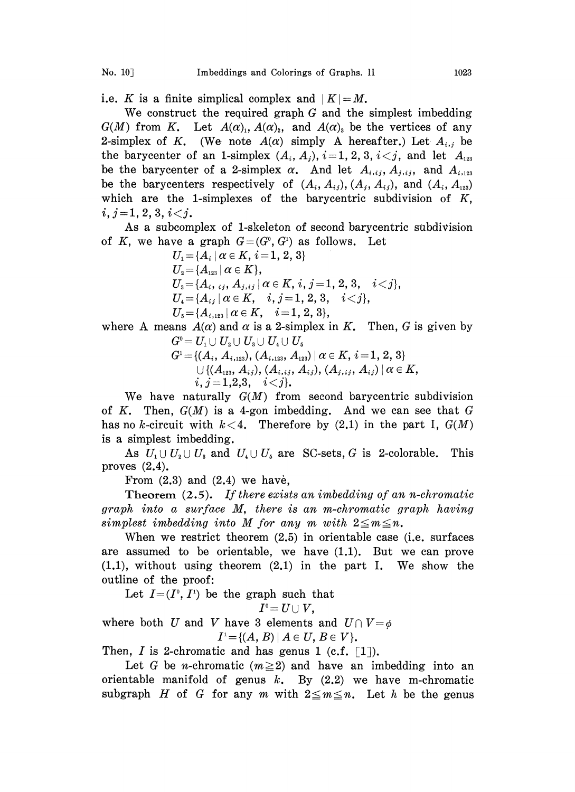i.e. K is a finite simplical complex and  $|K|=M$ .

We construct the required graph G and the simplest imbedding  $G(M)$  from K. Let  $A(\alpha)_1, A(\alpha)_2$ , and  $A(\alpha)_3$  be the vertices of any 2-simplex of K. (We note  $A(\alpha)$  simply A hereafter.) Let  $A_{i,j}$  be the barycenter of an 1-simplex  $(A_i, A_j)$ ,  $i=1, 2, 3, i< j$ , and let  $A_{123}$ be the barycenter of a 2-simplex  $\alpha$ . And let  $A_{i, i,j}$ ,  $A_{j, i,j}$ , and  $A_{i, 123}$ be the barycenters respectively of  $(A_i, A_{ij}), (A_j, A_{ij}),$  and  $(A_i, A_{123})$ which are the 1-simplexes of the barycentric subdivision of  $K$ ,  $i, j=1, 2, 3, i < j.$ 

As a subcomplex of 1-skeleton of second barycentric subdivision of K, we have a graph  $G=(G^0, G^1)$  as follows. Let

 $U_1 = \{A_i \mid \alpha \in K, i = 1, 2, 3\}$  $U_2 = \{A_{123} \mid \alpha \in K\},\$  $U_{3} = \{A_{i}, i_{i}, A_{j, i_{j}} | \alpha \in K, i, j = 1, 2, 3, i < j\},\$  $U_4 = \{A_{ij} \mid \alpha \in K, \quad i,j = 1, 2, 3, \quad i < j\},$  $U_{5} = \{A_{i,123} | \alpha \in K, \quad i = 1, 2, 3\},\$ 

where A means  $A(\alpha)$  and  $\alpha$  is a 2-simplex in K. Then, G is given by  $G^{\scriptscriptstyle 0}=U_{\scriptscriptstyle 1}\cup U_{\scriptscriptstyle 2}\cup U_{\scriptscriptstyle 3}\cup U_{\scriptscriptstyle 4}\cup U_{\scriptscriptstyle 5}$ 

$$
G^{\rm i}\! =\! \{(A_i,A_{i,123}), (A_{i,123},A_{123}) \,|\, \alpha \in K,\, i\! =\! 1,\,2,\,3\} \cup \{ (A_{123},A_{ij}), (A_{i,ij},A_{ij}), (A_{j,ij},A_{ij}) \,|\, \alpha \in K,\, \, i,\, j\!=\! 1,\!2,\!3,\quad i\!<\!j\}.
$$

We have naturally  $G(M)$  from second barycentric subdivision of K. Then,  $G(M)$  is a 4-gon imbedding. And we can see that G has no k-circuit with  $k<4$ . Therefore by (2.1) in the part I,  $G(M)$ is a simplest imbedding.

As  $U_1 \cup U_2 \cup U_3$  and  $U_4 \cup U_5$  are SC-sets, G is 2-colorable. This proves (2.4).

From  $(2.3)$  and  $(2.4)$  we have,

Theorem  $(2.5)$ . If there exists an imbedding of an n-chromatic graph into a surface M, there is an m-chromatic graph having simplest imbedding into M for any m with  $2 \leq m \leq n$ .

When we restrict theorem (2.5) in orientable case (i.e. surfaces are assumed to be orientable, we have (1.1). But we can prove (1.1), without using theorem (2.1) in the part I. We show the outline of the proof:

Let  $I=(I^0, I^1)$  be the graph such that

$$
I^{\scriptscriptstyle 0}=U\cup V,
$$

 $I^0 = U \cup V$ ,<br>where both U and V have 3 elements and  $U \cap V = \emptyset$  $I^1 = \{(A, B) | A \in U, B \in V\}.$ <br>ic and has genus 1 (c.f. [

Then, I is 2-chromatic and has genus 1 (c.f.  $\lceil 1 \rceil$ ).

Let G be *n*-chromatic ( $m \ge 2$ ) and have an imbedding into an orientable manifold of genus  $k$ . By  $(2.2)$  we have m-chromatic subgraph H of G for any m with  $2 \le m \le n$ . Let h be the genus